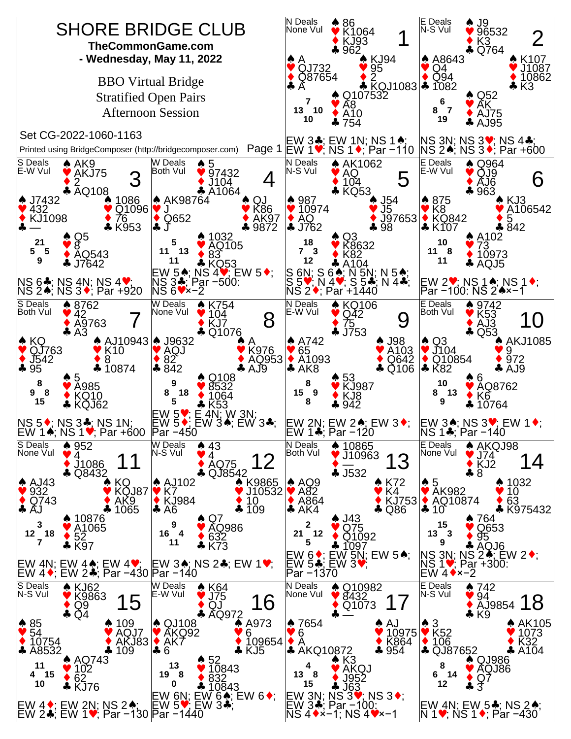